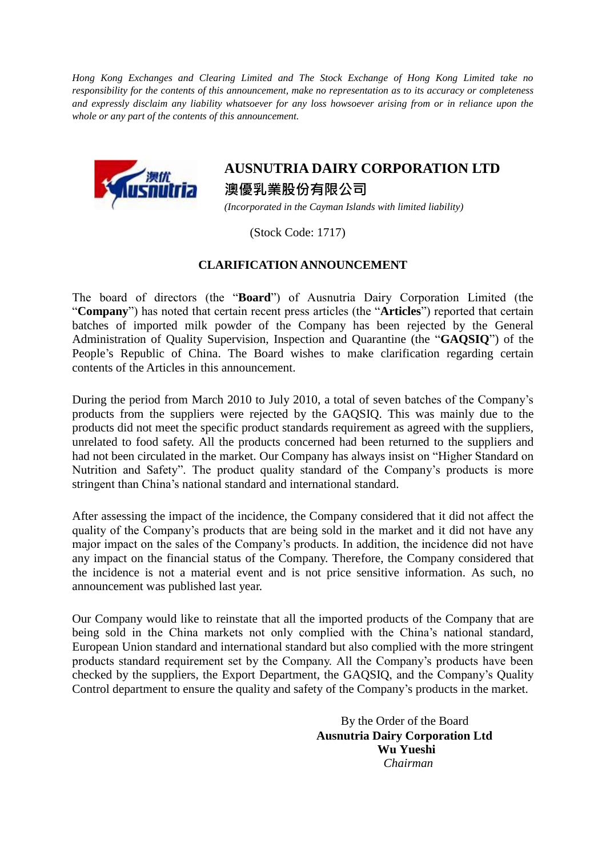*Hong Kong Exchanges and Clearing Limited and The Stock Exchange of Hong Kong Limited take no responsibility for the contents of this announcement, make no representation as to its accuracy or completeness and expressly disclaim any liability whatsoever for any loss howsoever arising from or in reliance upon the whole or any part of the contents of this announcement.*



## **AUSNUTRIA DAIRY CORPORATION LTD** 澳優乳業股份有限公司

*(Incorporated in the Cayman Islands with limited liability)*

(Stock Code: 1717)

## **CLARIFICATION ANNOUNCEMENT**

The board of directors (the "**Board**") of Ausnutria Dairy Corporation Limited (the "**Company**") has noted that certain recent press articles (the "**Articles**") reported that certain batches of imported milk powder of the Company has been rejected by the General Administration of Quality Supervision, Inspection and Quarantine (the "**GAQSIQ**") of the People's Republic of China. The Board wishes to make clarification regarding certain contents of the Articles in this announcement.

During the period from March 2010 to July 2010, a total of seven batches of the Company's products from the suppliers were rejected by the GAQSIQ. This was mainly due to the products did not meet the specific product standards requirement as agreed with the suppliers, unrelated to food safety. All the products concerned had been returned to the suppliers and had not been circulated in the market. Our Company has always insist on "Higher Standard on Nutrition and Safety". The product quality standard of the Company's products is more stringent than China's national standard and international standard.

After assessing the impact of the incidence, the Company considered that it did not affect the quality of the Company's products that are being sold in the market and it did not have any major impact on the sales of the Company's products. In addition, the incidence did not have any impact on the financial status of the Company. Therefore, the Company considered that the incidence is not a material event and is not price sensitive information. As such, no announcement was published last year.

Our Company would like to reinstate that all the imported products of the Company that are being sold in the China markets not only complied with the China's national standard, European Union standard and international standard but also complied with the more stringent products standard requirement set by the Company. All the Company's products have been checked by the suppliers, the Export Department, the GAQSIQ, and the Company's Quality Control department to ensure the quality and safety of the Company's products in the market.

> By the Order of the Board **Ausnutria Dairy Corporation Ltd Wu Yueshi** *Chairman*